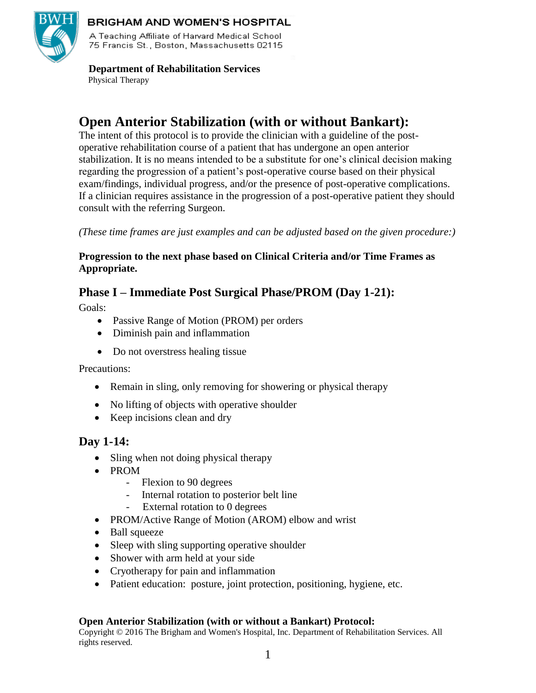

### **BRIGHAM AND WOMEN'S HOSPITAL**

A Teaching Affiliate of Harvard Medical School 75 Francis St., Boston, Massachusetts 02115.

#### **Department of Rehabilitation Services** Physical Therapy

# **Open Anterior Stabilization (with or without Bankart):**

The intent of this protocol is to provide the clinician with a guideline of the postoperative rehabilitation course of a patient that has undergone an open anterior stabilization. It is no means intended to be a substitute for one's clinical decision making regarding the progression of a patient's post-operative course based on their physical exam/findings, individual progress, and/or the presence of post-operative complications. If a clinician requires assistance in the progression of a post-operative patient they should consult with the referring Surgeon.

*(These time frames are just examples and can be adjusted based on the given procedure:)*

### **Progression to the next phase based on Clinical Criteria and/or Time Frames as Appropriate.**

## **Phase I – Immediate Post Surgical Phase/PROM (Day 1-21):**

Goals:

- Passive Range of Motion (PROM) per orders
- Diminish pain and inflammation
- Do not overstress healing tissue

### Precautions:

- Remain in sling, only removing for showering or physical therapy
- No lifting of objects with operative shoulder
- Keep incisions clean and dry

## **Day 1-14:**

- Sling when not doing physical therapy
- PROM
	- Flexion to 90 degrees
	- Internal rotation to posterior belt line
	- External rotation to 0 degrees
- PROM/Active Range of Motion (AROM) elbow and wrist
- Ball squeeze
- Sleep with sling supporting operative shoulder
- Shower with arm held at your side
- Cryotherapy for pain and inflammation
- Patient education: posture, joint protection, positioning, hygiene, etc.

### **Open Anterior Stabilization (with or without a Bankart) Protocol:**

Copyright © 2016 The Brigham and Women's Hospital, Inc. Department of Rehabilitation Services. All rights reserved.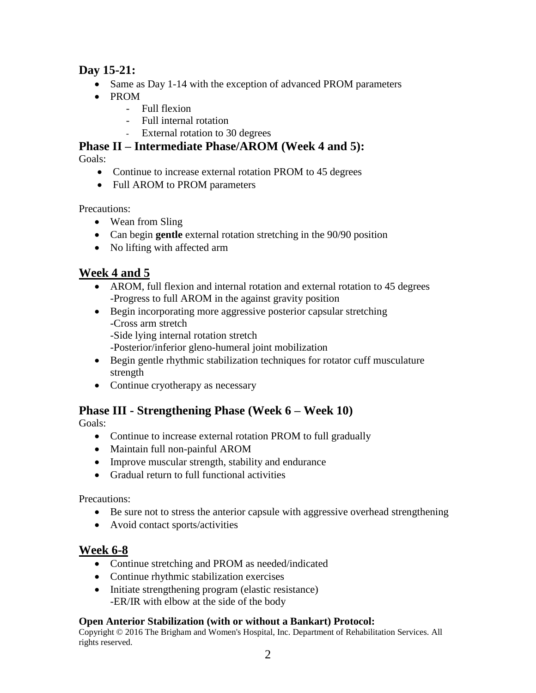## **Day 15-21:**

- Same as Day 1-14 with the exception of advanced PROM parameters
- PROM
	- Full flexion
	- Full internal rotation
	- External rotation to 30 degrees

**Phase II – Intermediate Phase/AROM (Week 4 and 5):**

Goals:

- Continue to increase external rotation PROM to 45 degrees
- Full AROM to PROM parameters

Precautions:

- Wean from Sling
- Can begin **gentle** external rotation stretching in the 90/90 position
- No lifting with affected arm

## **Week 4 and 5**

- AROM, full flexion and internal rotation and external rotation to 45 degrees -Progress to full AROM in the against gravity position
- Begin incorporating more aggressive posterior capsular stretching -Cross arm stretch -Side lying internal rotation stretch

-Posterior/inferior gleno-humeral joint mobilization

- Begin gentle rhythmic stabilization techniques for rotator cuff musculature strength
- Continue cryotherapy as necessary

## **Phase III - Strengthening Phase (Week 6 – Week 10)**

Goals:

- Continue to increase external rotation PROM to full gradually
- Maintain full non-painful AROM
- Improve muscular strength, stability and endurance
- Gradual return to full functional activities

Precautions:

- Be sure not to stress the anterior capsule with aggressive overhead strengthening
- Avoid contact sports/activities

## **Week 6-8**

- Continue stretching and PROM as needed/indicated
- Continue rhythmic stabilization exercises
- Initiate strengthening program (elastic resistance) -ER/IR with elbow at the side of the body

### **Open Anterior Stabilization (with or without a Bankart) Protocol:**

Copyright © 2016 The Brigham and Women's Hospital, Inc. Department of Rehabilitation Services. All rights reserved.